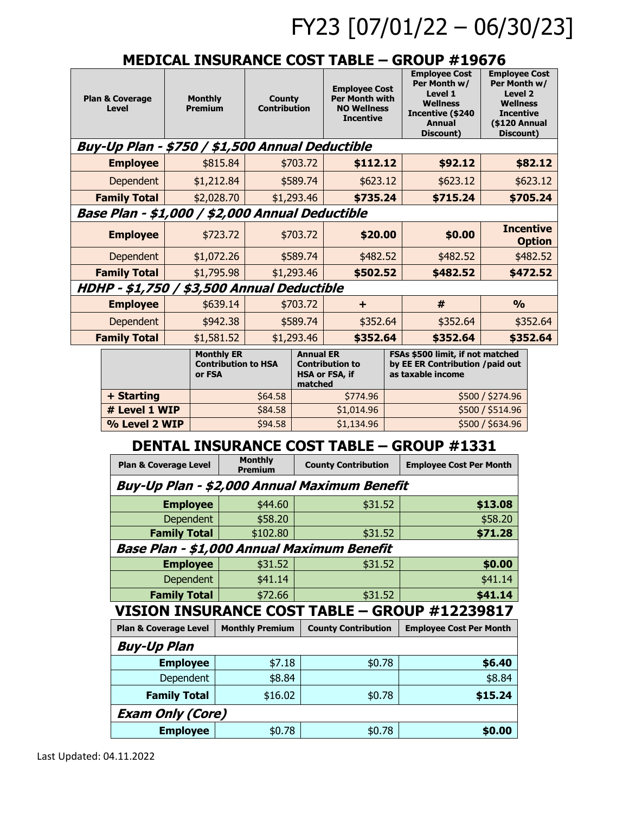# FY23 [07/01/22 – 06/30/23]

### **MEDICAL INSURANCE COST TABLE – GROUP #19676**

| <b>Plan &amp; Coverage</b><br>Level |                                                  | <b>Monthly</b><br><b>Premium</b> | <b>County</b><br><b>Contribution</b> |                                                                  |                                                           | <b>Employee Cost</b><br><b>Per Month with</b><br><b>NO Wellness</b><br><b>Incentive</b> |                                                                                                                                       | <b>Employee Cost</b><br><b>Employee Cost</b><br>Per Month w/<br>Per Month w/<br>Level 1<br><b>Level 2</b><br><b>Wellness</b><br><b>Wellness</b><br>Incentive (\$240<br><b>Incentive</b><br>(\$120 Annual<br><b>Annual</b><br>Discount)<br>Discount) |                                      |                                   |          |
|-------------------------------------|--------------------------------------------------|----------------------------------|--------------------------------------|------------------------------------------------------------------|-----------------------------------------------------------|-----------------------------------------------------------------------------------------|---------------------------------------------------------------------------------------------------------------------------------------|-----------------------------------------------------------------------------------------------------------------------------------------------------------------------------------------------------------------------------------------------------|--------------------------------------|-----------------------------------|----------|
|                                     | Buy-Up Plan - \$750 / \$1,500 Annual Deductible  |                                  |                                      |                                                                  |                                                           |                                                                                         |                                                                                                                                       |                                                                                                                                                                                                                                                     |                                      |                                   |          |
|                                     | <b>Employee</b>                                  |                                  |                                      | \$815.84                                                         | \$703.72                                                  |                                                                                         | \$112.12                                                                                                                              |                                                                                                                                                                                                                                                     | \$92.12                              |                                   | \$82.12  |
|                                     | Dependent                                        |                                  | \$1,212.84                           |                                                                  | \$589.74                                                  |                                                                                         | \$623.12                                                                                                                              |                                                                                                                                                                                                                                                     | \$623.12                             |                                   | \$623.12 |
|                                     | <b>Family Total</b>                              |                                  |                                      | \$2,028.70                                                       |                                                           | \$1,293.46                                                                              | \$735.24                                                                                                                              |                                                                                                                                                                                                                                                     | \$715.24                             |                                   | \$705.24 |
|                                     |                                                  |                                  |                                      | Base Plan - \$1,000 / \$2,000 Annual Deductible                  |                                                           |                                                                                         |                                                                                                                                       |                                                                                                                                                                                                                                                     |                                      |                                   |          |
|                                     | <b>Employee</b>                                  |                                  | \$723.72                             |                                                                  | \$703.72                                                  |                                                                                         | \$20.00                                                                                                                               |                                                                                                                                                                                                                                                     | \$0.00                               | <b>Incentive</b><br><b>Option</b> |          |
|                                     | Dependent                                        |                                  | \$1,072.26                           |                                                                  | \$589.74                                                  |                                                                                         | \$482.52                                                                                                                              |                                                                                                                                                                                                                                                     | \$482.52                             | \$482.52                          |          |
|                                     | <b>Family Total</b>                              |                                  |                                      | \$1,795.98                                                       |                                                           | \$1,293.46                                                                              | \$502.52                                                                                                                              |                                                                                                                                                                                                                                                     | \$482.52                             |                                   | \$472.52 |
|                                     | HDHP - \$1,750 / \$3,500 Annual Deductible       |                                  |                                      |                                                                  |                                                           |                                                                                         |                                                                                                                                       |                                                                                                                                                                                                                                                     |                                      |                                   |          |
|                                     | <b>Employee</b>                                  |                                  | \$639.14                             |                                                                  | \$703.72                                                  |                                                                                         | $\ddot{}$                                                                                                                             |                                                                                                                                                                                                                                                     | #                                    | $\frac{0}{0}$                     |          |
|                                     | Dependent                                        |                                  |                                      | \$942.38                                                         |                                                           | \$589.74                                                                                | \$352.64                                                                                                                              |                                                                                                                                                                                                                                                     | \$352.64                             | \$352.64                          |          |
|                                     | <b>Family Total</b>                              |                                  | \$1,581.52                           |                                                                  |                                                           | \$1,293.46                                                                              | \$352.64                                                                                                                              |                                                                                                                                                                                                                                                     | \$352.64                             |                                   | \$352.64 |
|                                     |                                                  |                                  | or FSA                               | <b>Monthly ER</b>                                                | <b>Annual ER</b><br><b>Contribution to HSA</b><br>matched |                                                                                         | FSAs \$500 limit, if not matched<br>by EE ER Contribution / paid out<br><b>Contribution to</b><br>as taxable income<br>HSA or FSA, if |                                                                                                                                                                                                                                                     |                                      |                                   |          |
|                                     | + Starting                                       |                                  |                                      | \$64.58                                                          |                                                           |                                                                                         | \$774.96                                                                                                                              |                                                                                                                                                                                                                                                     | \$500 / \$274.96                     |                                   |          |
|                                     | # Level 1 WIP                                    |                                  |                                      | \$84.58                                                          |                                                           |                                                                                         | \$1,014.96                                                                                                                            |                                                                                                                                                                                                                                                     | \$500 / \$514.96<br>\$500 / \$634.96 |                                   |          |
|                                     | % Level 2 WIP                                    |                                  |                                      | \$94.58                                                          |                                                           |                                                                                         | \$1,134.96                                                                                                                            |                                                                                                                                                                                                                                                     |                                      |                                   |          |
|                                     | <b>DENTAL INSURANCE COST TABLE - GROUP #1331</b> |                                  |                                      |                                                                  |                                                           |                                                                                         |                                                                                                                                       |                                                                                                                                                                                                                                                     |                                      |                                   |          |
|                                     | <b>Plan &amp; Coverage Level</b>                 |                                  |                                      |                                                                  | <b>Monthly</b><br><b>Premium</b>                          |                                                                                         | <b>County Contribution</b>                                                                                                            |                                                                                                                                                                                                                                                     | <b>Employee Cost Per Month</b>       |                                   |          |
|                                     | Buy-Up Plan - \$2,000 Annual Maximum Benefit     |                                  |                                      |                                                                  |                                                           |                                                                                         |                                                                                                                                       |                                                                                                                                                                                                                                                     |                                      |                                   |          |
|                                     | <b>Employee</b>                                  |                                  |                                      |                                                                  | \$44.60                                                   |                                                                                         | \$31.52                                                                                                                               |                                                                                                                                                                                                                                                     | \$13.08                              |                                   |          |
|                                     | Dependent                                        |                                  |                                      | \$58.20                                                          |                                                           |                                                                                         | \$31.52                                                                                                                               |                                                                                                                                                                                                                                                     | \$58.20<br>\$71.28                   |                                   |          |
|                                     | <b>Family Total</b>                              |                                  |                                      |                                                                  | \$102.80                                                  |                                                                                         |                                                                                                                                       |                                                                                                                                                                                                                                                     |                                      |                                   |          |
|                                     | <b>Employee</b>                                  |                                  |                                      | Base Plan - \$1,000 Annual Maximum Benefit<br>\$31.52<br>\$31.52 |                                                           |                                                                                         |                                                                                                                                       |                                                                                                                                                                                                                                                     | \$0.00                               |                                   |          |
|                                     | Dependent                                        |                                  |                                      | \$41.14                                                          |                                                           |                                                                                         |                                                                                                                                       |                                                                                                                                                                                                                                                     | \$41.14                              |                                   |          |
|                                     | <b>Family Total</b>                              |                                  | \$72.66                              |                                                                  |                                                           | \$31.52                                                                                 |                                                                                                                                       | \$41.14                                                                                                                                                                                                                                             |                                      |                                   |          |
|                                     |                                                  |                                  |                                      |                                                                  |                                                           |                                                                                         |                                                                                                                                       | VISION INSURANCE COST TABLE - GROUP #12239817                                                                                                                                                                                                       |                                      |                                   |          |
|                                     |                                                  | <b>Plan &amp; Coverage Level</b> |                                      | <b>Monthly Premium</b>                                           |                                                           | <b>County Contribution</b>                                                              |                                                                                                                                       | <b>Employee Cost Per Month</b>                                                                                                                                                                                                                      |                                      |                                   |          |
|                                     | <b>Buy-Up Plan</b>                               |                                  |                                      |                                                                  |                                                           |                                                                                         |                                                                                                                                       |                                                                                                                                                                                                                                                     |                                      |                                   |          |
|                                     | <b>Employee</b>                                  |                                  | \$7.18                               |                                                                  |                                                           | \$0.78                                                                                  |                                                                                                                                       |                                                                                                                                                                                                                                                     | \$6.40                               |                                   |          |
|                                     | Dependent                                        |                                  |                                      | \$8.84                                                           |                                                           |                                                                                         |                                                                                                                                       | \$8.84                                                                                                                                                                                                                                              |                                      |                                   |          |
|                                     | <b>Family Total</b>                              |                                  |                                      |                                                                  | \$16.02                                                   |                                                                                         | \$0.78                                                                                                                                |                                                                                                                                                                                                                                                     | \$15.24                              |                                   |          |
|                                     | <b>Exam Only (Core)</b>                          |                                  |                                      |                                                                  |                                                           |                                                                                         |                                                                                                                                       |                                                                                                                                                                                                                                                     |                                      |                                   |          |
|                                     | <b>Employee</b>                                  |                                  |                                      |                                                                  | \$0.78                                                    |                                                                                         | \$0.78                                                                                                                                |                                                                                                                                                                                                                                                     |                                      | \$0.00                            |          |
|                                     |                                                  |                                  |                                      |                                                                  |                                                           |                                                                                         |                                                                                                                                       |                                                                                                                                                                                                                                                     |                                      |                                   |          |